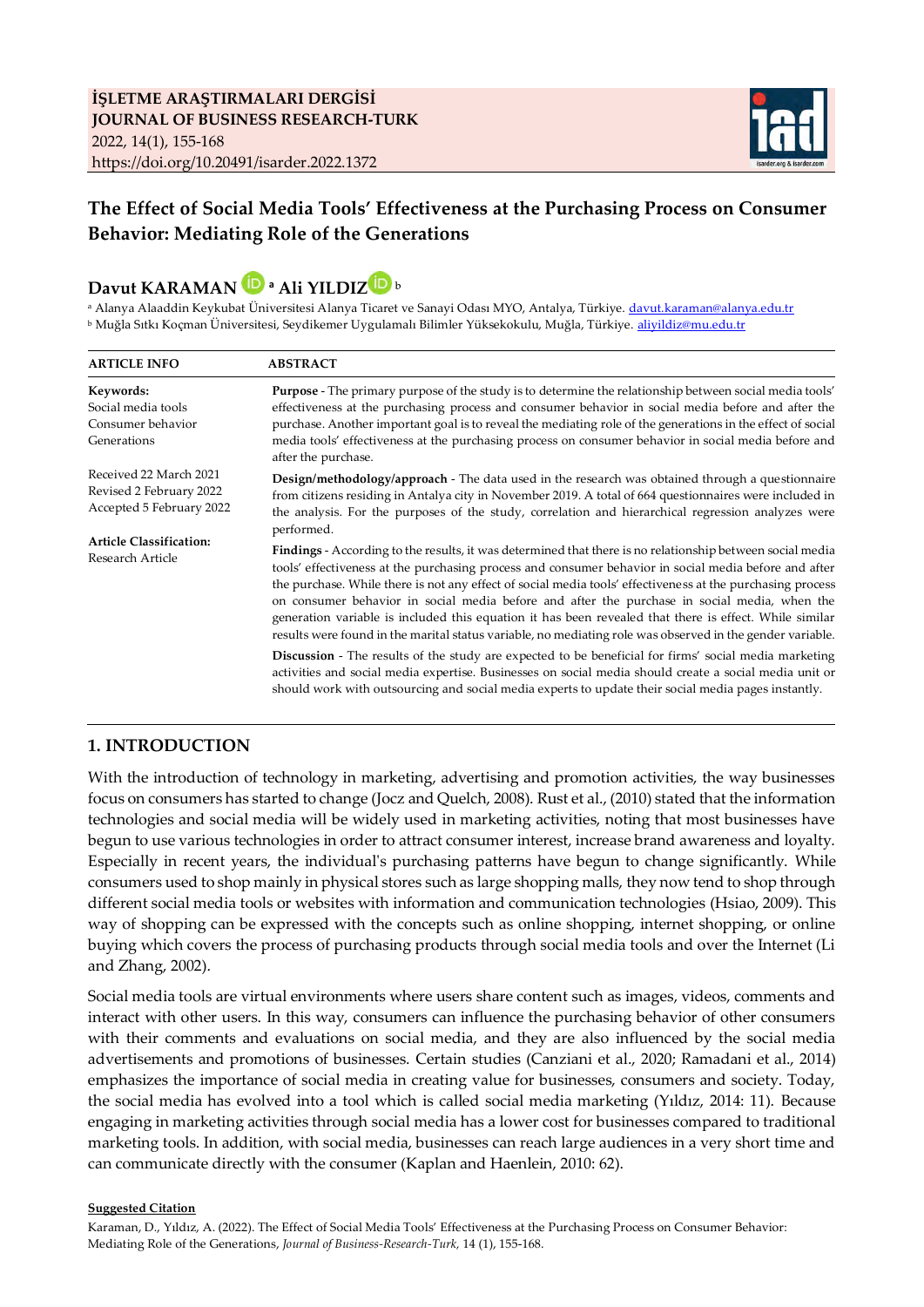

# **The Effect of Social Media Tools' Effectiveness at the Purchasing Process on Consumer Behavior: Mediating Role of the Generations**

# **Davut KARAMAN<sup>a</sup> Ali YILDI[Z](http://www.orcid.org/0000-0001-7670-5320)** ᵇ

a Alanya Alaaddin Keykubat Üniversitesi Alanya Ticaret ve Sanayi Odası MYO, Antalya, Türkiye. [davut.karaman@alanya.edu.tr](mailto:davut.karaman@alanya.edu.tr) **b Muğla Sıtkı Koçman Üniversitesi, Seydikemer Uygulamalı Bilimler Yüksekokulu, Muğla, Türkiye.** [aliyildiz@mu.edu.tr](mailto:aliyildiz@mu.edu.tr)

| <b>ARTICLE INFO</b>                                                                                                                                                                                        | <b>ABSTRACT</b>                                                                                                                                                                                                                                                                                                                                                                                                                                                                                                                                                                                                                                         |  |  |  |  |  |
|------------------------------------------------------------------------------------------------------------------------------------------------------------------------------------------------------------|---------------------------------------------------------------------------------------------------------------------------------------------------------------------------------------------------------------------------------------------------------------------------------------------------------------------------------------------------------------------------------------------------------------------------------------------------------------------------------------------------------------------------------------------------------------------------------------------------------------------------------------------------------|--|--|--|--|--|
| Keywords:<br>Social media tools<br>Consumer behavior<br>Generations<br>Received 22 March 2021<br>Revised 2 February 2022<br>Accepted 5 February 2022<br><b>Article Classification:</b><br>Research Article | Purpose - The primary purpose of the study is to determine the relationship between social media tools'<br>effectiveness at the purchasing process and consumer behavior in social media before and after the<br>purchase. Another important goal is to reveal the mediating role of the generations in the effect of social<br>media tools' effectiveness at the purchasing process on consumer behavior in social media before and<br>after the purchase.                                                                                                                                                                                             |  |  |  |  |  |
|                                                                                                                                                                                                            | Design/methodology/approach - The data used in the research was obtained through a questionnaire<br>from citizens residing in Antalya city in November 2019. A total of 664 questionnaires were included in<br>the analysis. For the purposes of the study, correlation and hierarchical regression analyzes were<br>performed.                                                                                                                                                                                                                                                                                                                         |  |  |  |  |  |
|                                                                                                                                                                                                            | Findings - According to the results, it was determined that there is no relationship between social media<br>tools' effectiveness at the purchasing process and consumer behavior in social media before and after<br>the purchase. While there is not any effect of social media tools' effectiveness at the purchasing process<br>on consumer behavior in social media before and after the purchase in social media, when the<br>generation variable is included this equation it has been revealed that there is effect. While similar<br>results were found in the marital status variable, no mediating role was observed in the gender variable. |  |  |  |  |  |
|                                                                                                                                                                                                            | Discussion - The results of the study are expected to be beneficial for firms' social media marketing<br>activities and social media expertise. Businesses on social media should create a social media unit or<br>should work with outsourcing and social media experts to update their social media pages instantly.                                                                                                                                                                                                                                                                                                                                  |  |  |  |  |  |

#### **1. INTRODUCTION**

With the introduction of technology in marketing, advertising and promotion activities, the way businesses focus on consumers has started to change (Jocz and Quelch, 2008). Rust et al., (2010) stated that the information technologies and social media will be widely used in marketing activities, noting that most businesses have begun to use various technologies in order to attract consumer interest, increase brand awareness and loyalty. Especially in recent years, the individual's purchasing patterns have begun to change significantly. While consumers used to shop mainly in physical stores such as large shopping malls, they now tend to shop through different social media tools or websites with information and communication technologies (Hsiao, 2009). This way of shopping can be expressed with the concepts such as online shopping, internet shopping, or online buying which covers the process of purchasing products through social media tools and over the Internet (Li and Zhang, 2002).

Social media tools are virtual environments where users share content such as images, videos, comments and interact with other users. In this way, consumers can influence the purchasing behavior of other consumers with their comments and evaluations on social media, and they are also influenced by the social media advertisements and promotions of businesses. Certain studies (Canziani et al., 2020; Ramadani et al., 2014) emphasizes the importance of social media in creating value for businesses, consumers and society. Today, the social media has evolved into a tool which is called social media marketing (Yıldız, 2014: 11). Because engaging in marketing activities through social media has a lower cost for businesses compared to traditional marketing tools. In addition, with social media, businesses can reach large audiences in a very short time and can communicate directly with the consumer (Kaplan and Haenlein, 2010: 62).

#### **Suggested Citation**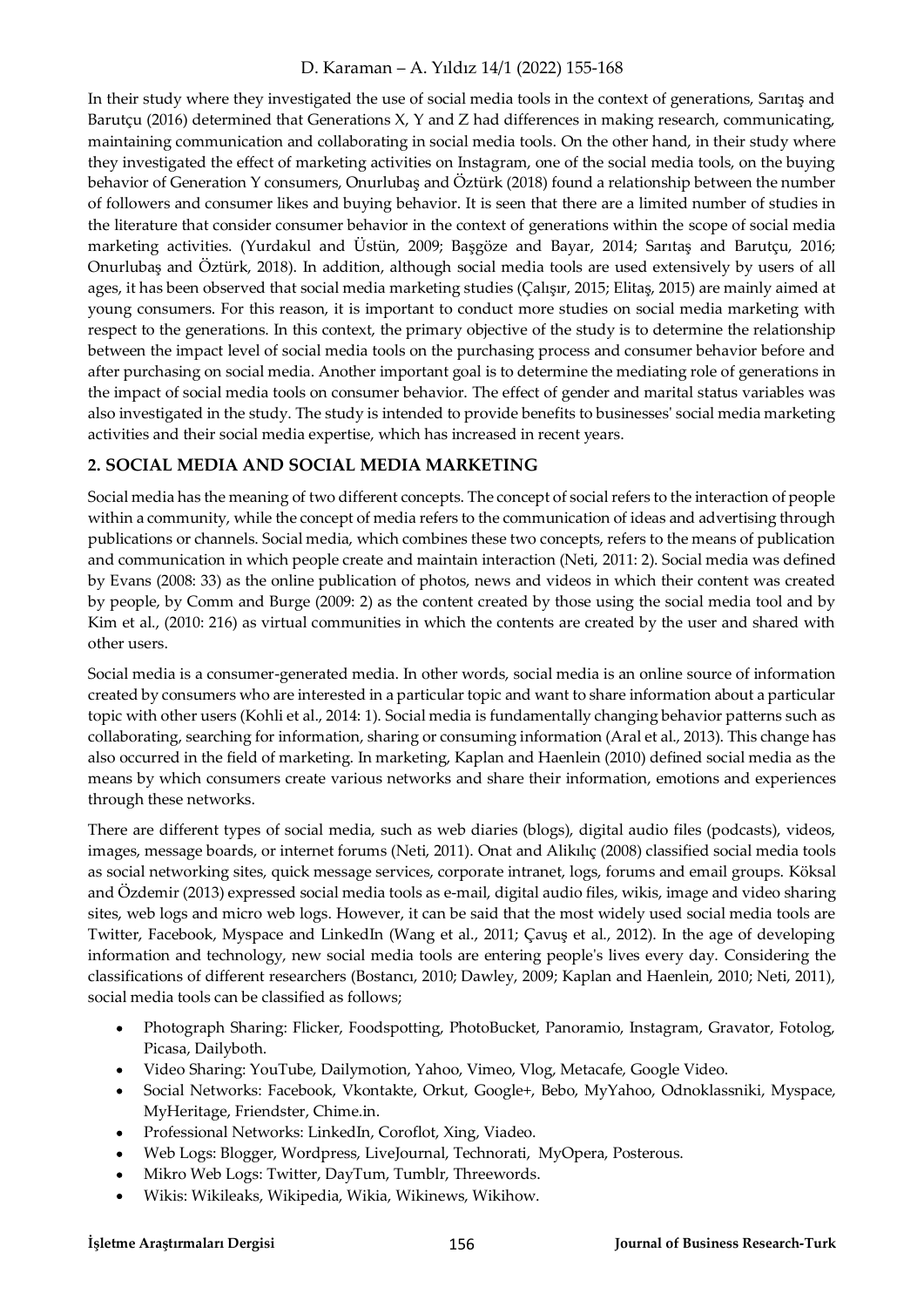In their study where they investigated the use of social media tools in the context of generations, Sarıtaş and Barutçu (2016) determined that Generations X, Y and Z had differences in making research, communicating, maintaining communication and collaborating in social media tools. On the other hand, in their study where they investigated the effect of marketing activities on Instagram, one of the social media tools, on the buying behavior of Generation Y consumers, Onurlubaş and Öztürk (2018) found a relationship between the number of followers and consumer likes and buying behavior. It is seen that there are a limited number of studies in the literature that consider consumer behavior in the context of generations within the scope of social media marketing activities. (Yurdakul and Üstün, 2009; Başgöze and Bayar, 2014; Sarıtaş and Barutçu, 2016; Onurlubaş and Öztürk, 2018). In addition, although social media tools are used extensively by users of all ages, it has been observed that social media marketing studies (Çalışır, 2015; Elitaş, 2015) are mainly aimed at young consumers. For this reason, it is important to conduct more studies on social media marketing with respect to the generations. In this context, the primary objective of the study is to determine the relationship between the impact level of social media tools on the purchasing process and consumer behavior before and after purchasing on social media. Another important goal is to determine the mediating role of generations in the impact of social media tools on consumer behavior. The effect of gender and marital status variables was also investigated in the study. The study is intended to provide benefits to businesses' social media marketing activities and their social media expertise, which has increased in recent years.

# **2. SOCIAL MEDIA AND SOCIAL MEDIA MARKETING**

Social media has the meaning of two different concepts. The concept of social refers to the interaction of people within a community, while the concept of media refers to the communication of ideas and advertising through publications or channels. Social media, which combines these two concepts, refers to the means of publication and communication in which people create and maintain interaction (Neti, 2011: 2). Social media was defined by Evans (2008: 33) as the online publication of photos, news and videos in which their content was created by people, by Comm and Burge (2009: 2) as the content created by those using the social media tool and by Kim et al., (2010: 216) as virtual communities in which the contents are created by the user and shared with other users.

Social media is a consumer-generated media. In other words, social media is an online source of information created by consumers who are interested in a particular topic and want to share information about a particular topic with other users (Kohli et al., 2014: 1). Social media is fundamentally changing behavior patterns such as collaborating, searching for information, sharing or consuming information (Aral et al., 2013). This change has also occurred in the field of marketing. In marketing, Kaplan and Haenlein (2010) defined social media as the means by which consumers create various networks and share their information, emotions and experiences through these networks.

There are different types of social media, such as web diaries (blogs), digital audio files (podcasts), videos, images, message boards, or internet forums (Neti, 2011). Onat and Alikılıç (2008) classified social media tools as social networking sites, quick message services, corporate intranet, logs, forums and email groups. Köksal and Özdemir (2013) expressed social media tools as e-mail, digital audio files, wikis, image and video sharing sites, web logs and micro web logs. However, it can be said that the most widely used social media tools are Twitter, Facebook, Myspace and LinkedIn (Wang et al., 2011; Çavuş et al., 2012). In the age of developing information and technology, new social media tools are entering people's lives every day. Considering the classifications of different researchers (Bostancı, 2010; Dawley, 2009; Kaplan and Haenlein, 2010; Neti, 2011), social media tools can be classified as follows;

- Photograph Sharing: Flicker, Foodspotting, PhotoBucket, Panoramio, Instagram, Gravator, Fotolog, Picasa, Dailyboth.
- Video Sharing: YouTube, Dailymotion, Yahoo, Vimeo, Vlog, Metacafe, Google Video.  $\bullet$
- Social Networks: Facebook, Vkontakte, Orkut, Google+, Bebo, MyYahoo, Odnoklassniki, Myspace,  $\bullet$ MyHeritage, Friendster, Chime.in.
- Professional Networks: LinkedIn, Coroflot, Xing, Viadeo.
- Web Logs: Blogger, Wordpress, LiveJournal, Technorati, MyOpera, Posterous.
- Mikro Web Logs: Twitter, DayTum, Tumblr, Threewords.
- Wikis: Wikileaks, Wikipedia, Wikia, Wikinews, Wikihow.  $\bullet$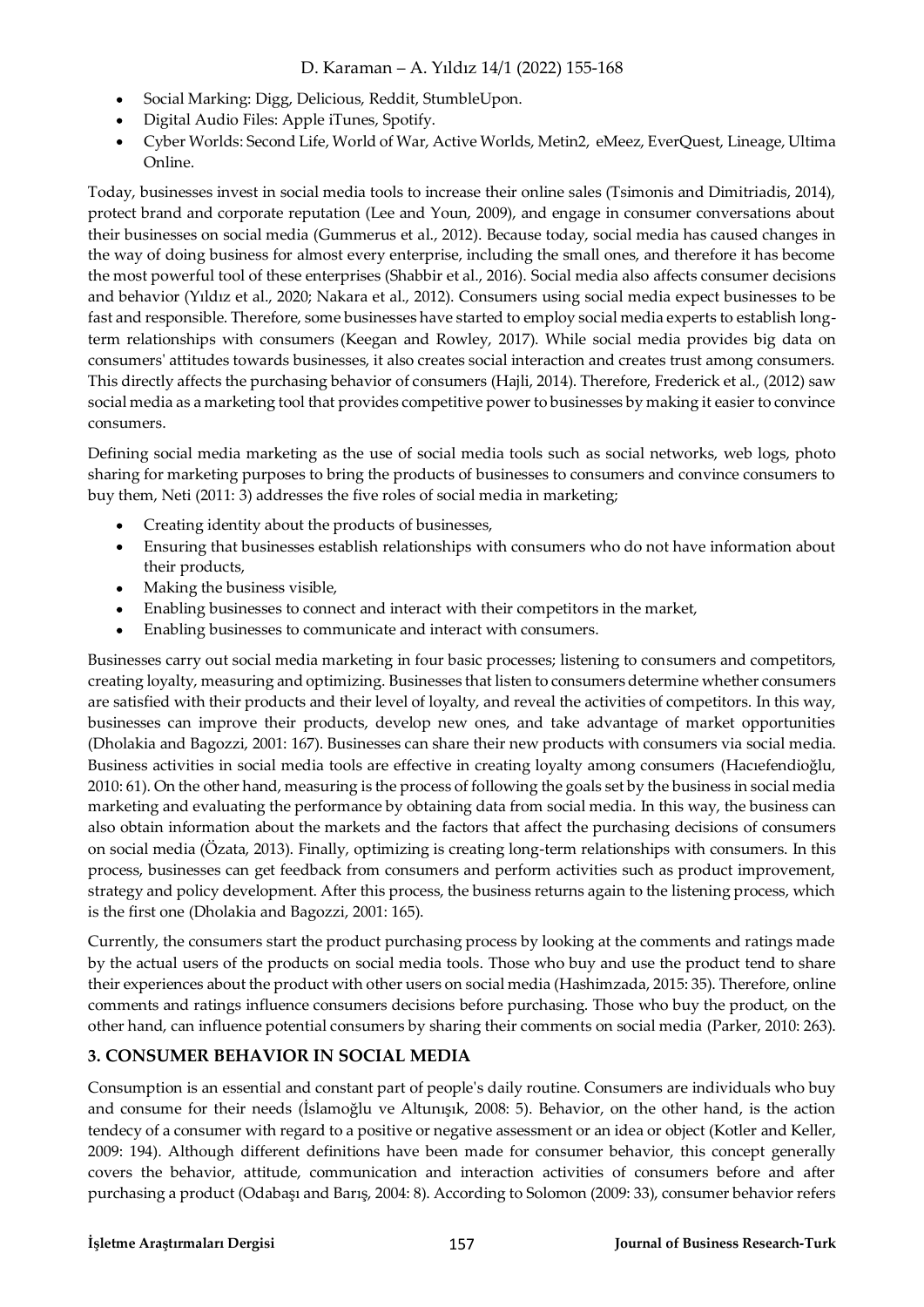- Social Marking: Digg, Delicious, Reddit, StumbleUpon.  $\bullet$
- Digital Audio Files: Apple iTunes, Spotify.
- Cyber Worlds: Second Life, World of War, Active Worlds, Metin2, eMeez, EverQuest, Lineage, Ultima  $\bullet$ Online.

Today, businesses invest in social media tools to increase their online sales (Tsimonis and Dimitriadis, 2014), protect brand and corporate reputation (Lee and Youn, 2009), and engage in consumer conversations about their businesses on social media (Gummerus et al., 2012). Because today, social media has caused changes in the way of doing business for almost every enterprise, including the small ones, and therefore it has become the most powerful tool of these enterprises (Shabbir et al., 2016). Social media also affects consumer decisions and behavior (Yıldız et al., 2020; Nakara et al., 2012). Consumers using social media expect businesses to be fast and responsible. Therefore, some businesses have started to employ social media experts to establish longterm relationships with consumers (Keegan and Rowley, 2017). While social media provides big data on consumers' attitudes towards businesses, it also creates social interaction and creates trust among consumers. This directly affects the purchasing behavior of consumers (Hajli, 2014). Therefore, Frederick et al., (2012) saw social media as a marketing tool that provides competitive power to businesses by making it easier to convince consumers.

Defining social media marketing as the use of social media tools such as social networks, web logs, photo sharing for marketing purposes to bring the products of businesses to consumers and convince consumers to buy them, Neti (2011: 3) addresses the five roles of social media in marketing;

- Creating identity about the products of businesses,
- Ensuring that businesses establish relationships with consumers who do not have information about  $\bullet$ their products,
- Making the business visible,
- Enabling businesses to connect and interact with their competitors in the market,
- Enabling businesses to communicate and interact with consumers.  $\bullet$

Businesses carry out social media marketing in four basic processes; listening to consumers and competitors, creating loyalty, measuring and optimizing. Businesses that listen to consumers determine whether consumers are satisfied with their products and their level of loyalty, and reveal the activities of competitors. In this way, businesses can improve their products, develop new ones, and take advantage of market opportunities (Dholakia and Bagozzi, 2001: 167). Businesses can share their new products with consumers via social media. Business activities in social media tools are effective in creating loyalty among consumers (Hacıefendioğlu, 2010: 61). On the other hand, measuring is the process of following the goals set by the business in social media marketing and evaluating the performance by obtaining data from social media. In this way, the business can also obtain information about the markets and the factors that affect the purchasing decisions of consumers on social media (Özata, 2013). Finally, optimizing is creating long-term relationships with consumers. In this process, businesses can get feedback from consumers and perform activities such as product improvement, strategy and policy development. After this process, the business returns again to the listening process, which is the first one (Dholakia and Bagozzi, 2001: 165).

Currently, the consumers start the product purchasing process by looking at the comments and ratings made by the actual users of the products on social media tools. Those who buy and use the product tend to share their experiences about the product with other users on social media (Hashimzada, 2015: 35). Therefore, online comments and ratings influence consumers decisions before purchasing. Those who buy the product, on the other hand, can influence potential consumers by sharing their comments on social media (Parker, 2010: 263).

# **3. CONSUMER BEHAVIOR IN SOCIAL MEDIA**

Consumption is an essential and constant part of people's daily routine. Consumers are individuals who buy and consume for their needs (İslamoğlu ve Altunışık, 2008: 5). Behavior, on the other hand, is the action tendecy of a consumer with regard to a positive or negative assessment or an idea or object (Kotler and Keller, 2009: 194). Although different definitions have been made for consumer behavior, this concept generally covers the behavior, attitude, communication and interaction activities of consumers before and after purchasing a product (Odabaşı and Barış, 2004: 8). According to Solomon (2009: 33), consumer behavior refers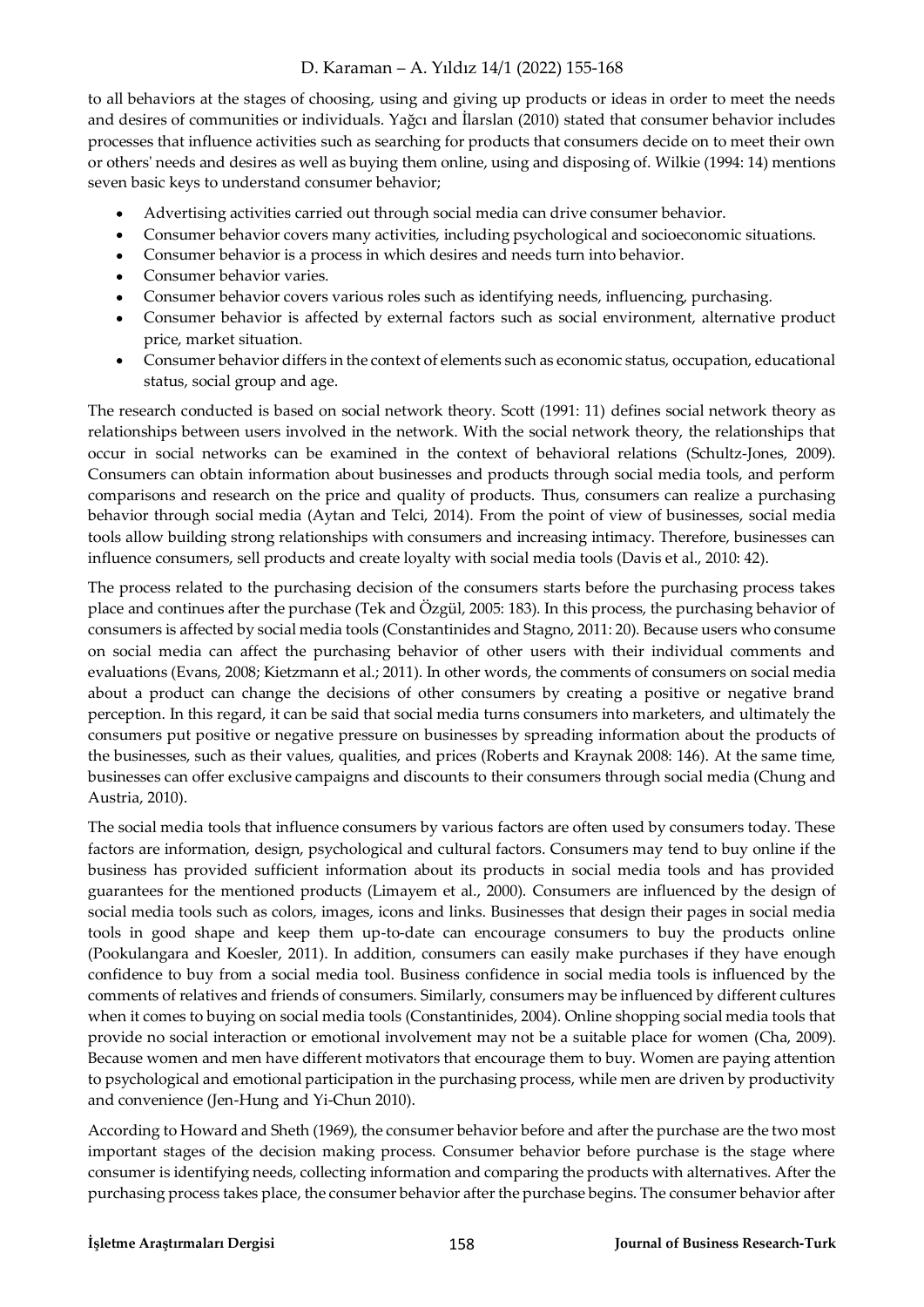to all behaviors at the stages of choosing, using and giving up products or ideas in order to meet the needs and desires of communities or individuals. Yağcı and İlarslan (2010) stated that consumer behavior includes processes that influence activities such as searching for products that consumers decide on to meet their own or others' needs and desires as well as buying them online, using and disposing of. Wilkie (1994: 14) mentions seven basic keys to understand consumer behavior;

- Advertising activities carried out through social media can drive consumer behavior.
- Consumer behavior covers many activities, including psychological and socioeconomic situations.
- $\bullet$ Consumer behavior is a process in which desires and needs turn into behavior.
- Consumer behavior varies.
- Consumer behavior covers various roles such as identifying needs, influencing, purchasing.
- Consumer behavior is affected by external factors such as social environment, alternative product price, market situation.
- Consumer behavior differs in the context of elements such as economic status, occupation, educational status, social group and age.

The research conducted is based on social network theory. Scott (1991: 11) defines social network theory as relationships between users involved in the network. With the social network theory, the relationships that occur in social networks can be examined in the context of behavioral relations (Schultz-Jones, 2009). Consumers can obtain information about businesses and products through social media tools, and perform comparisons and research on the price and quality of products. Thus, consumers can realize a purchasing behavior through social media (Aytan and Telci, 2014). From the point of view of businesses, social media tools allow building strong relationships with consumers and increasing intimacy. Therefore, businesses can influence consumers, sell products and create loyalty with social media tools (Davis et al., 2010: 42).

The process related to the purchasing decision of the consumers starts before the purchasing process takes place and continues after the purchase (Tek and Özgül, 2005: 183). In this process, the purchasing behavior of consumers is affected by social media tools (Constantinides and Stagno, 2011: 20). Because users who consume on social media can affect the purchasing behavior of other users with their individual comments and evaluations (Evans, 2008; Kietzmann et al.; 2011). In other words, the comments of consumers on social media about a product can change the decisions of other consumers by creating a positive or negative brand perception. In this regard, it can be said that social media turns consumers into marketers, and ultimately the consumers put positive or negative pressure on businesses by spreading information about the products of the businesses, such as their values, qualities, and prices (Roberts and Kraynak 2008: 146). At the same time, businesses can offer exclusive campaigns and discounts to their consumers through social media (Chung and Austria, 2010).

The social media tools that influence consumers by various factors are often used by consumers today. These factors are information, design, psychological and cultural factors. Consumers may tend to buy online if the business has provided sufficient information about its products in social media tools and has provided guarantees for the mentioned products (Limayem et al., 2000). Consumers are influenced by the design of social media tools such as colors, images, icons and links. Businesses that design their pages in social media tools in good shape and keep them up-to-date can encourage consumers to buy the products online (Pookulangara and Koesler, 2011). In addition, consumers can easily make purchases if they have enough confidence to buy from a social media tool. Business confidence in social media tools is influenced by the comments of relatives and friends of consumers. Similarly, consumers may be influenced by different cultures when it comes to buying on social media tools (Constantinides, 2004). Online shopping social media tools that provide no social interaction or emotional involvement may not be a suitable place for women (Cha, 2009). Because women and men have different motivators that encourage them to buy. Women are paying attention to psychological and emotional participation in the purchasing process, while men are driven by productivity and convenience (Jen-Hung and Yi-Chun 2010).

According to Howard and Sheth (1969), the consumer behavior before and after the purchase are the two most important stages of the decision making process. Consumer behavior before purchase is the stage where consumer is identifying needs, collecting information and comparing the products with alternatives. After the purchasing process takes place, the consumer behavior after the purchase begins. The consumer behavior after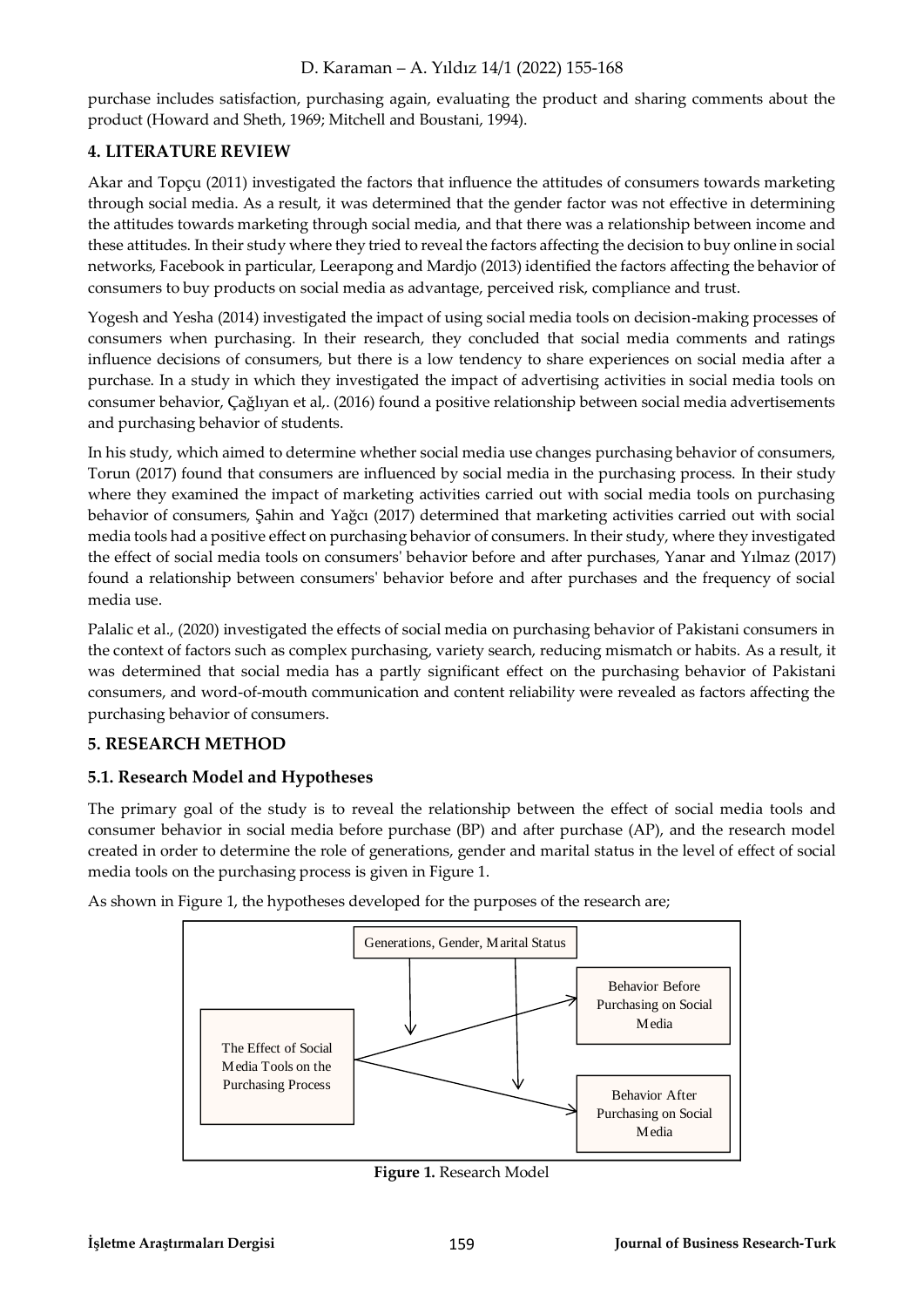purchase includes satisfaction, purchasing again, evaluating the product and sharing comments about the product (Howard and Sheth, 1969; Mitchell and Boustani, 1994).

### **4. LITERATURE REVIEW**

Akar and Topçu (2011) investigated the factors that influence the attitudes of consumers towards marketing through social media. As a result, it was determined that the gender factor was not effective in determining the attitudes towards marketing through social media, and that there was a relationship between income and these attitudes. In their study where they tried to reveal the factors affecting the decision to buy online in social networks, Facebook in particular, Leerapong and Mardjo (2013) identified the factors affecting the behavior of consumers to buy products on social media as advantage, perceived risk, compliance and trust.

Yogesh and Yesha (2014) investigated the impact of using social media tools on decision-making processes of consumers when purchasing. In their research, they concluded that social media comments and ratings influence decisions of consumers, but there is a low tendency to share experiences on social media after a purchase. In a study in which they investigated the impact of advertising activities in social media tools on consumer behavior, Çağlıyan et al,. (2016) found a positive relationship between social media advertisements and purchasing behavior of students.

In his study, which aimed to determine whether social media use changes purchasing behavior of consumers, Torun (2017) found that consumers are influenced by social media in the purchasing process. In their study where they examined the impact of marketing activities carried out with social media tools on purchasing behavior of consumers, Şahin and Yağcı (2017) determined that marketing activities carried out with social media tools had a positive effect on purchasing behavior of consumers. In their study, where they investigated the effect of social media tools on consumers' behavior before and after purchases, Yanar and Yılmaz (2017) found a relationship between consumers' behavior before and after purchases and the frequency of social media use.

Palalic et al., (2020) investigated the effects of social media on purchasing behavior of Pakistani consumers in the context of factors such as complex purchasing, variety search, reducing mismatch or habits. As a result, it was determined that social media has a partly significant effect on the purchasing behavior of Pakistani consumers, and word-of-mouth communication and content reliability were revealed as factors affecting the purchasing behavior of consumers.

# **5. RESEARCH METHOD**

#### **5.1. Research Model and Hypotheses**

The primary goal of the study is to reveal the relationship between the effect of social media tools and consumer behavior in social media before purchase (BP) and after purchase (AP), and the research model created in order to determine the role of generations, gender and marital status in the level of effect of social media tools on the purchasing process is given in Figure 1.

As shown in Figure 1, the hypotheses developed for the purposes of the research are;



**Figure 1.** Research Model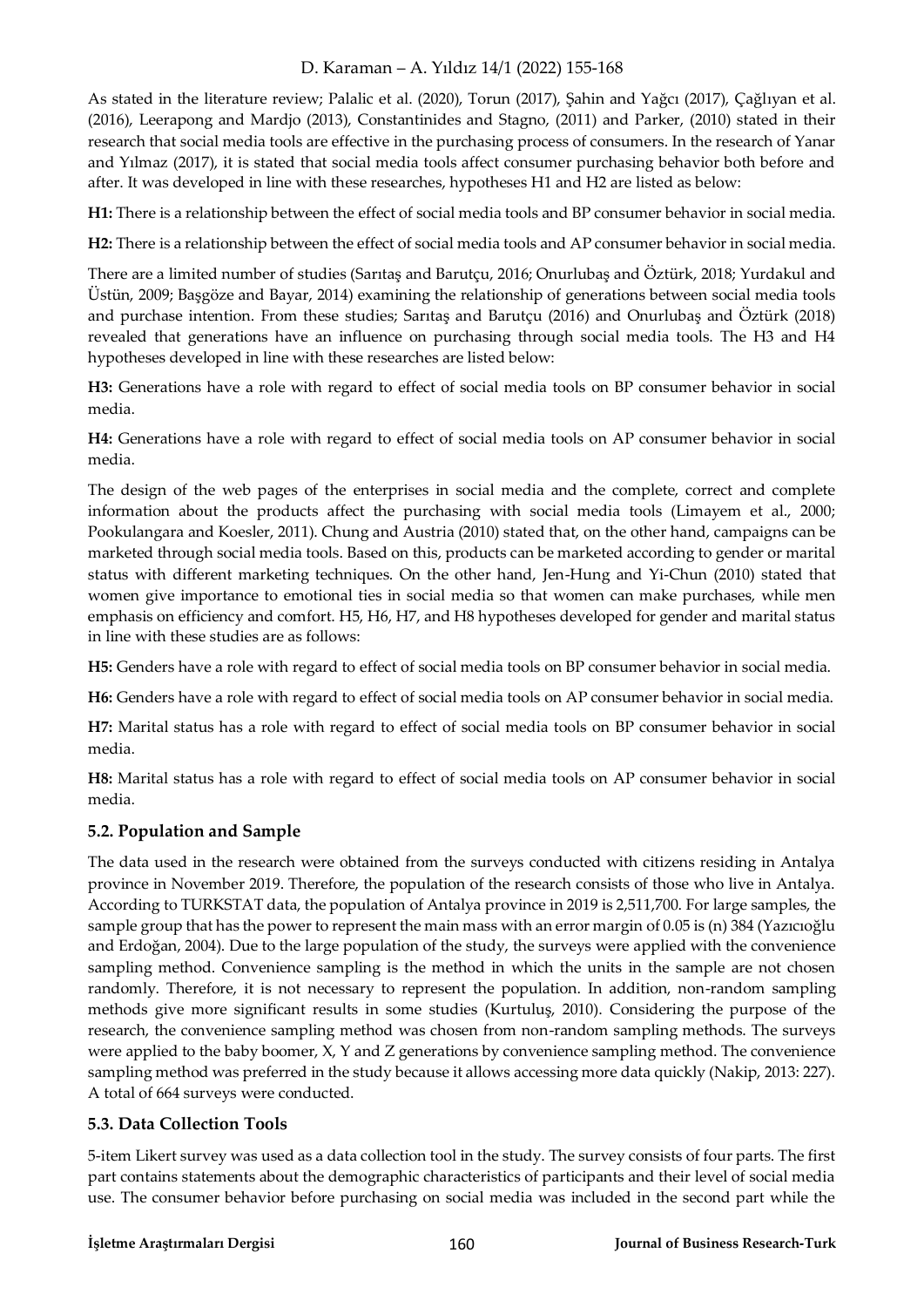As stated in the literature review; Palalic et al. (2020), Torun (2017), Şahin and Yağcı (2017), Çağlıyan et al. (2016), Leerapong and Mardjo (2013), Constantinides and Stagno, (2011) and Parker, (2010) stated in their research that social media tools are effective in the purchasing process of consumers. In the research of Yanar and Yılmaz (2017), it is stated that social media tools affect consumer purchasing behavior both before and after. It was developed in line with these researches, hypotheses H1 and H2 are listed as below:

**H1:** There is a relationship between the effect of social media tools and BP consumer behavior in social media.

**H2:** There is a relationship between the effect of social media tools and AP consumer behavior in social media.

There are a limited number of studies (Sarıtaş and Barutçu, 2016; Onurlubaş and Öztürk, 2018; Yurdakul and Üstün, 2009; Başgöze and Bayar, 2014) examining the relationship of generations between social media tools and purchase intention. From these studies; Sarıtaş and Barutçu (2016) and Onurlubaş and Öztürk (2018) revealed that generations have an influence on purchasing through social media tools. The H3 and H4 hypotheses developed in line with these researches are listed below:

**H3:** Generations have a role with regard to effect of social media tools on BP consumer behavior in social media.

**H4:** Generations have a role with regard to effect of social media tools on AP consumer behavior in social media.

The design of the web pages of the enterprises in social media and the complete, correct and complete information about the products affect the purchasing with social media tools (Limayem et al., 2000; Pookulangara and Koesler, 2011). Chung and Austria (2010) stated that, on the other hand, campaigns can be marketed through social media tools. Based on this, products can be marketed according to gender or marital status with different marketing techniques. On the other hand, Jen-Hung and Yi-Chun (2010) stated that women give importance to emotional ties in social media so that women can make purchases, while men emphasis on efficiency and comfort. H5, H6, H7, and H8 hypotheses developed for gender and marital status in line with these studies are as follows:

**H5:** Genders have a role with regard to effect of social media tools on BP consumer behavior in social media.

**H6:** Genders have a role with regard to effect of social media tools on AP consumer behavior in social media.

**H7:** Marital status has a role with regard to effect of social media tools on BP consumer behavior in social media.

**H8:** Marital status has a role with regard to effect of social media tools on AP consumer behavior in social media.

#### **5.2. Population and Sample**

The data used in the research were obtained from the surveys conducted with citizens residing in Antalya province in November 2019. Therefore, the population of the research consists of those who live in Antalya. According to TURKSTAT data, the population of Antalya province in 2019 is 2,511,700. For large samples, the sample group that has the power to represent the main mass with an error margin of 0.05 is (n) 384 (Yazıcıoğlu and Erdoğan, 2004). Due to the large population of the study, the surveys were applied with the convenience sampling method. Convenience sampling is the method in which the units in the sample are not chosen randomly. Therefore, it is not necessary to represent the population. In addition, non-random sampling methods give more significant results in some studies (Kurtuluş, 2010). Considering the purpose of the research, the convenience sampling method was chosen from non-random sampling methods. The surveys were applied to the baby boomer, X, Y and Z generations by convenience sampling method. The convenience sampling method was preferred in the study because it allows accessing more data quickly (Nakip, 2013: 227). A total of 664 surveys were conducted.

#### **5.3. Data Collection Tools**

5-item Likert survey was used as a data collection tool in the study. The survey consists of four parts. The first part contains statements about the demographic characteristics of participants and their level of social media use. The consumer behavior before purchasing on social media was included in the second part while the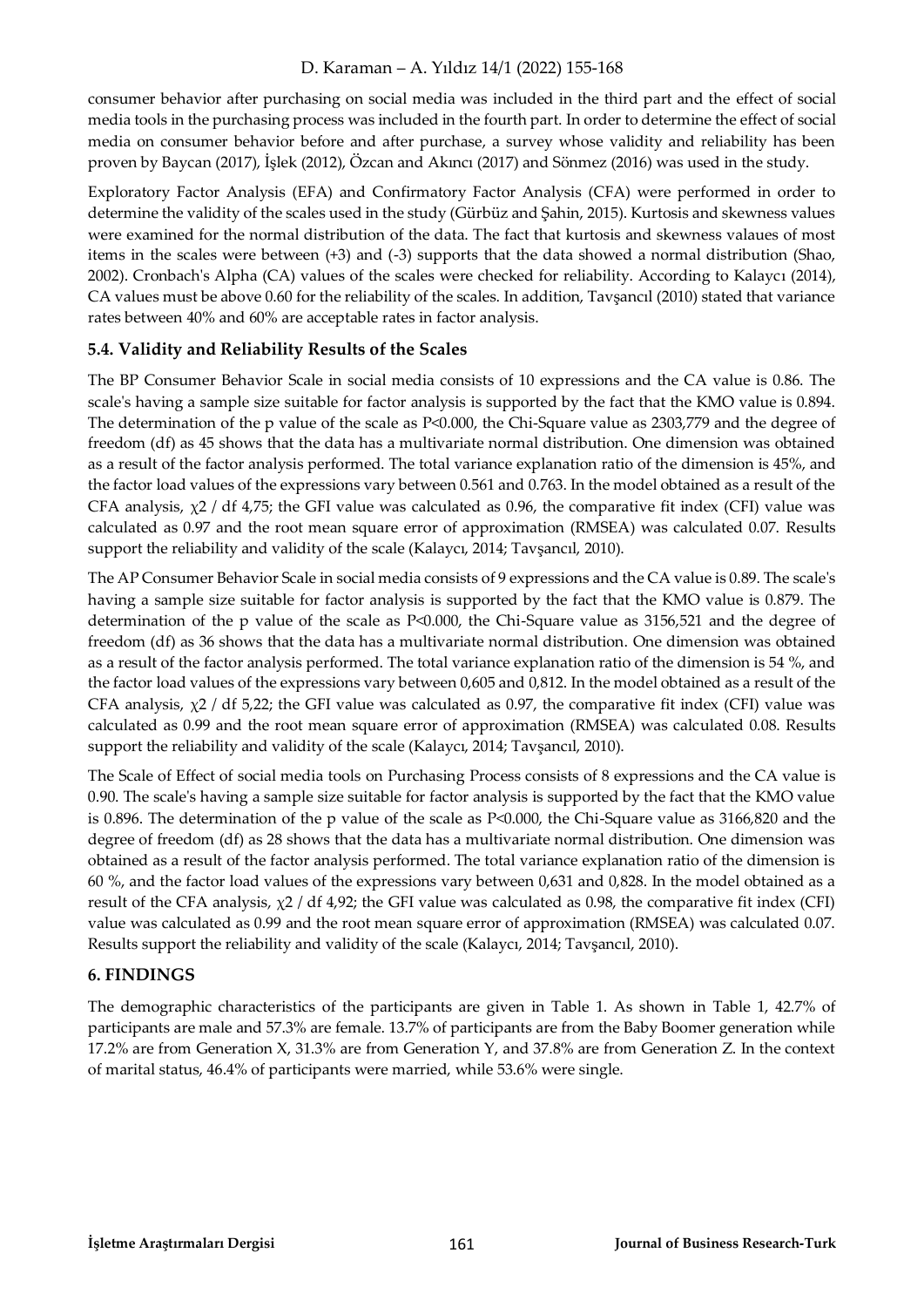consumer behavior after purchasing on social media was included in the third part and the effect of social media tools in the purchasing process was included in the fourth part. In order to determine the effect of social media on consumer behavior before and after purchase, a survey whose validity and reliability has been proven by Baycan (2017), İşlek (2012), Özcan and Akıncı (2017) and Sönmez (2016) was used in the study.

Exploratory Factor Analysis (EFA) and Confirmatory Factor Analysis (CFA) were performed in order to determine the validity of the scales used in the study (Gürbüz and Şahin, 2015). Kurtosis and skewness values were examined for the normal distribution of the data. The fact that kurtosis and skewness valaues of most items in the scales were between (+3) and (-3) supports that the data showed a normal distribution (Shao, 2002). Cronbach's Alpha (CA) values of the scales were checked for reliability. According to Kalaycı (2014), CA values must be above 0.60 for the reliability of the scales. In addition, Tavşancıl (2010) stated that variance rates between 40% and 60% are acceptable rates in factor analysis.

#### **5.4. Validity and Reliability Results of the Scales**

The BP Consumer Behavior Scale in social media consists of 10 expressions and the CA value is 0.86. The scale's having a sample size suitable for factor analysis is supported by the fact that the KMO value is 0.894. The determination of the p value of the scale as P<0.000, the Chi-Square value as 2303,779 and the degree of freedom (df) as 45 shows that the data has a multivariate normal distribution. One dimension was obtained as a result of the factor analysis performed. The total variance explanation ratio of the dimension is 45%, and the factor load values of the expressions vary between 0.561 and 0.763. In the model obtained as a result of the CFA analysis,  $\chi$ 2 / df 4,75; the GFI value was calculated as 0.96, the comparative fit index (CFI) value was calculated as 0.97 and the root mean square error of approximation (RMSEA) was calculated 0.07. Results support the reliability and validity of the scale (Kalaycı, 2014; Tavşancıl, 2010).

The AP Consumer Behavior Scale in social media consists of 9 expressions and the CA value is 0.89. The scale's having a sample size suitable for factor analysis is supported by the fact that the KMO value is 0.879. The determination of the p value of the scale as P<0.000, the Chi-Square value as 3156,521 and the degree of freedom (df) as 36 shows that the data has a multivariate normal distribution. One dimension was obtained as a result of the factor analysis performed. The total variance explanation ratio of the dimension is 54 %, and the factor load values of the expressions vary between 0,605 and 0,812. In the model obtained as a result of the CFA analysis,  $\chi$ 2 / df 5,22; the GFI value was calculated as 0.97, the comparative fit index (CFI) value was calculated as 0.99 and the root mean square error of approximation (RMSEA) was calculated 0.08. Results support the reliability and validity of the scale (Kalaycı, 2014; Tavşancıl, 2010).

The Scale of Effect of social media tools on Purchasing Process consists of 8 expressions and the CA value is 0.90. The scale's having a sample size suitable for factor analysis is supported by the fact that the KMO value is 0.896. The determination of the p value of the scale as P<0.000, the Chi-Square value as 3166,820 and the degree of freedom (df) as 28 shows that the data has a multivariate normal distribution. One dimension was obtained as a result of the factor analysis performed. The total variance explanation ratio of the dimension is 60 %, and the factor load values of the expressions vary between 0,631 and 0,828. In the model obtained as a result of the CFA analysis,  $\chi$ 2 / df 4,92; the GFI value was calculated as 0.98, the comparative fit index (CFI) value was calculated as 0.99 and the root mean square error of approximation (RMSEA) was calculated 0.07. Results support the reliability and validity of the scale (Kalaycı, 2014; Tavşancıl, 2010).

#### **6. FINDINGS**

The demographic characteristics of the participants are given in Table 1. As shown in Table 1, 42.7% of participants are male and 57.3% are female. 13.7% of participants are from the Baby Boomer generation while 17.2% are from Generation X, 31.3% are from Generation Y, and 37.8% are from Generation Z. In the context of marital status, 46.4% of participants were married, while 53.6% were single.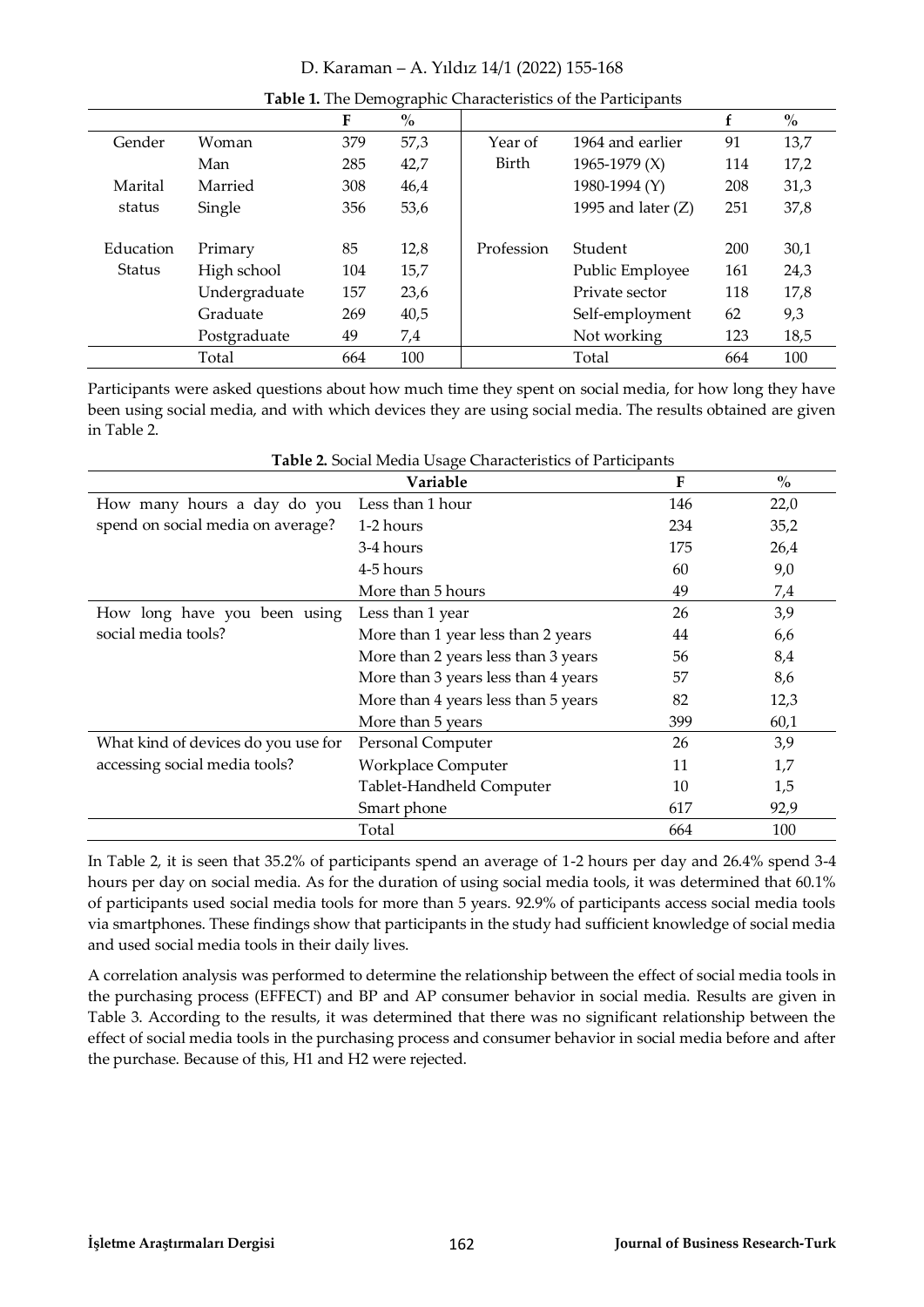|               |               | F   | $\%$ |              |                      |     | $\%$ |
|---------------|---------------|-----|------|--------------|----------------------|-----|------|
| Gender        | Woman         | 379 | 57,3 | Year of      | 1964 and earlier     | 91  | 13,7 |
|               | Man           | 285 | 42,7 | <b>Birth</b> | 1965-1979 $(X)$      | 114 | 17,2 |
| Marital       | Married       | 308 | 46,4 |              | 1980-1994 (Y)        | 208 | 31,3 |
| status        | Single        | 356 | 53,6 |              | 1995 and later $(Z)$ | 251 | 37,8 |
|               |               |     |      |              |                      |     |      |
| Education     | Primary       | 85  | 12,8 | Profession   | Student              | 200 | 30,1 |
| <b>Status</b> | High school   | 104 | 15,7 |              | Public Employee      | 161 | 24,3 |
|               | Undergraduate | 157 | 23,6 |              | Private sector       | 118 | 17,8 |
|               | Graduate      | 269 | 40,5 |              | Self-employment      | 62  | 9,3  |
|               | Postgraduate  | 49  | 7,4  |              | Not working          | 123 | 18,5 |
|               | Total         | 664 | 100  |              | Total                | 664 | 100  |

**Table 1.** The Demographic Characteristics of the Participants

Participants were asked questions about how much time they spent on social media, for how long they have been using social media, and with which devices they are using social media. The results obtained are given in Table 2.

|                                     | Variable                            | F   | $\frac{0}{0}$ |
|-------------------------------------|-------------------------------------|-----|---------------|
| How many hours a day do you         | Less than 1 hour                    | 146 | 22,0          |
| spend on social media on average?   | 1-2 hours                           | 234 | 35,2          |
|                                     | 3-4 hours                           | 175 | 26,4          |
|                                     | 4-5 hours                           | 60  | 9,0           |
|                                     | More than 5 hours                   | 49  | 7,4           |
| How long have you been using        | Less than 1 year                    | 26  | 3,9           |
| social media tools?                 | More than 1 year less than 2 years  | 44  | 6,6           |
|                                     | More than 2 years less than 3 years | 56  | 8,4           |
|                                     | More than 3 years less than 4 years | 57  | 8,6           |
|                                     | More than 4 years less than 5 years | 82  | 12,3          |
|                                     | More than 5 years                   | 399 | 60,1          |
| What kind of devices do you use for | Personal Computer                   | 26  | 3,9           |
| accessing social media tools?       | <b>Workplace Computer</b>           | 11  | 1,7           |
|                                     | Tablet-Handheld Computer            | 10  | 1,5           |
|                                     | Smart phone                         | 617 | 92,9          |
|                                     | Total                               | 664 | 100           |

| Table 2. Social Media Usage Characteristics of Participants |
|-------------------------------------------------------------|
|-------------------------------------------------------------|

In Table 2, it is seen that 35.2% of participants spend an average of 1-2 hours per day and 26.4% spend 3-4 hours per day on social media. As for the duration of using social media tools, it was determined that 60.1% of participants used social media tools for more than 5 years. 92.9% of participants access social media tools via smartphones. These findings show that participants in the study had sufficient knowledge of social media and used social media tools in their daily lives.

A correlation analysis was performed to determine the relationship between the effect of social media tools in the purchasing process (EFFECT) and BP and AP consumer behavior in social media. Results are given in Table 3. According to the results, it was determined that there was no significant relationship between the effect of social media tools in the purchasing process and consumer behavior in social media before and after the purchase. Because of this, H1 and H2 were rejected.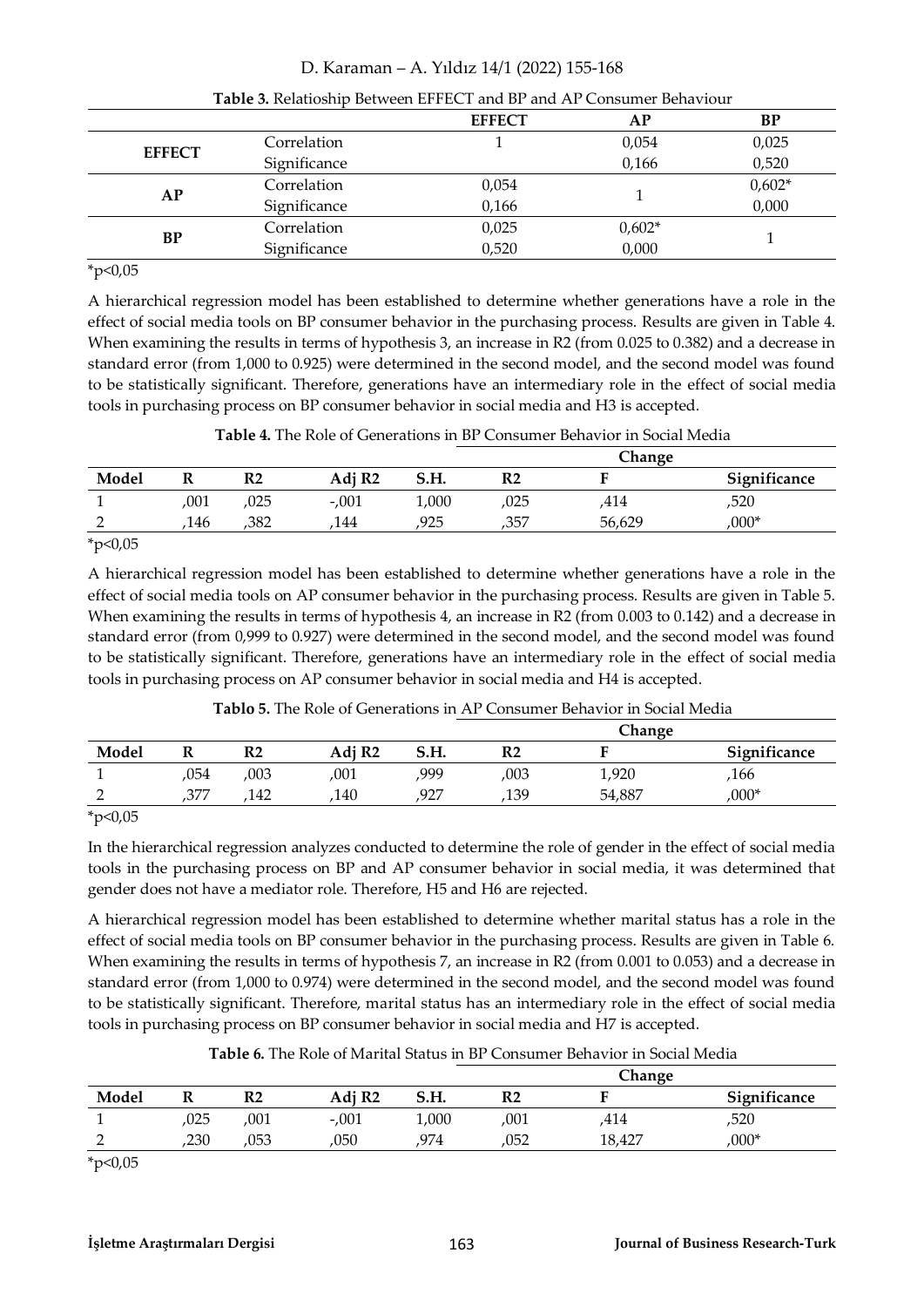|               |              | <b>EFFECT</b> | АP       | BP       |
|---------------|--------------|---------------|----------|----------|
|               | Correlation  |               | 0,054    | 0,025    |
| <b>EFFECT</b> | Significance |               | 0,166    | 0,520    |
| AP            | Correlation  | 0,054         |          | $0,602*$ |
|               | Significance | 0,166         |          | 0,000    |
| BP            | Correlation  | 0,025         | $0,602*$ |          |
|               | Significance | 0,520         | 0,000    |          |

#### **Table 3.** Relatioship Between EFFECT and BP and AP Consumer Behaviour

 $*_{p<0,05}$ 

A hierarchical regression model has been established to determine whether generations have a role in the effect of social media tools on BP consumer behavior in the purchasing process. Results are given in Table 4. When examining the results in terms of hypothesis 3, an increase in R2 (from 0.025 to 0.382) and a decrease in standard error (from 1,000 to 0.925) were determined in the second model, and the second model was found to be statistically significant. Therefore, generations have an intermediary role in the effect of social media tools in purchasing process on BP consumer behavior in social media and H3 is accepted.

|                      |      |      |                    |       | Change |        |              |  |  |
|----------------------|------|------|--------------------|-------|--------|--------|--------------|--|--|
| Model                |      | R2   | Adj R <sub>2</sub> | S.H.  | R2     |        | Significance |  |  |
|                      | ,001 | ,025 | $-.001$            | 1,000 | ,025   | 414,   | ,520         |  |  |
|                      | 146  | .382 | 144                | 925   | ,357   | 56,629 | $,000*$      |  |  |
| $\sim$ $\sim$ $\sim$ |      |      |                    |       |        |        |              |  |  |

 $*p<0,05$ 

A hierarchical regression model has been established to determine whether generations have a role in the effect of social media tools on AP consumer behavior in the purchasing process. Results are given in Table 5. When examining the results in terms of hypothesis 4, an increase in R2 (from 0.003 to 0.142) and a decrease in standard error (from 0,999 to 0.927) were determined in the second model, and the second model was found to be statistically significant. Therefore, generations have an intermediary role in the effect of social media tools in purchasing process on AP consumer behavior in social media and H4 is accepted.

|       |      |      |                    |      | Change |        |              |
|-------|------|------|--------------------|------|--------|--------|--------------|
| Model | -    | R2   | Adj R <sub>2</sub> | S.H. | R2     |        | Significance |
|       | ,054 | ,003 | 001                | 999  | ,003   | 1,920  | ,166         |
|       | ,377 | 142  | 140                | ,927 | ,139   | 54,887 | $,000*$      |

**Tablo 5.** The Role of Generations in AP Consumer Behavior in Social Media

 $*p<0,05$ 

In the hierarchical regression analyzes conducted to determine the role of gender in the effect of social media tools in the purchasing process on BP and AP consumer behavior in social media, it was determined that gender does not have a mediator role. Therefore, H5 and H6 are rejected.

A hierarchical regression model has been established to determine whether marital status has a role in the effect of social media tools on BP consumer behavior in the purchasing process. Results are given in Table 6. When examining the results in terms of hypothesis 7, an increase in R2 (from 0.001 to 0.053) and a decrease in standard error (from 1,000 to 0.974) were determined in the second model, and the second model was found to be statistically significant. Therefore, marital status has an intermediary role in the effect of social media tools in purchasing process on BP consumer behavior in social media and H7 is accepted.

|  |  |  | Table 6. The Role of Marital Status in BP Consumer Behavior in Social Media |  |
|--|--|--|-----------------------------------------------------------------------------|--|
|  |  |  |                                                                             |  |

|       |      |      |                    |       | Change         |        |              |  |
|-------|------|------|--------------------|-------|----------------|--------|--------------|--|
| Model |      | R2   | Adj R <sub>2</sub> | S.H.  | R <sub>2</sub> |        | Significance |  |
|       | ,025 | ,001 | $-.001$            | 1,000 | ,001           | ,414   | ,520         |  |
|       | ,230 | ,053 | ,050               | 974   | ,052           | 18.427 | $,000*$      |  |

 $*p<0,05$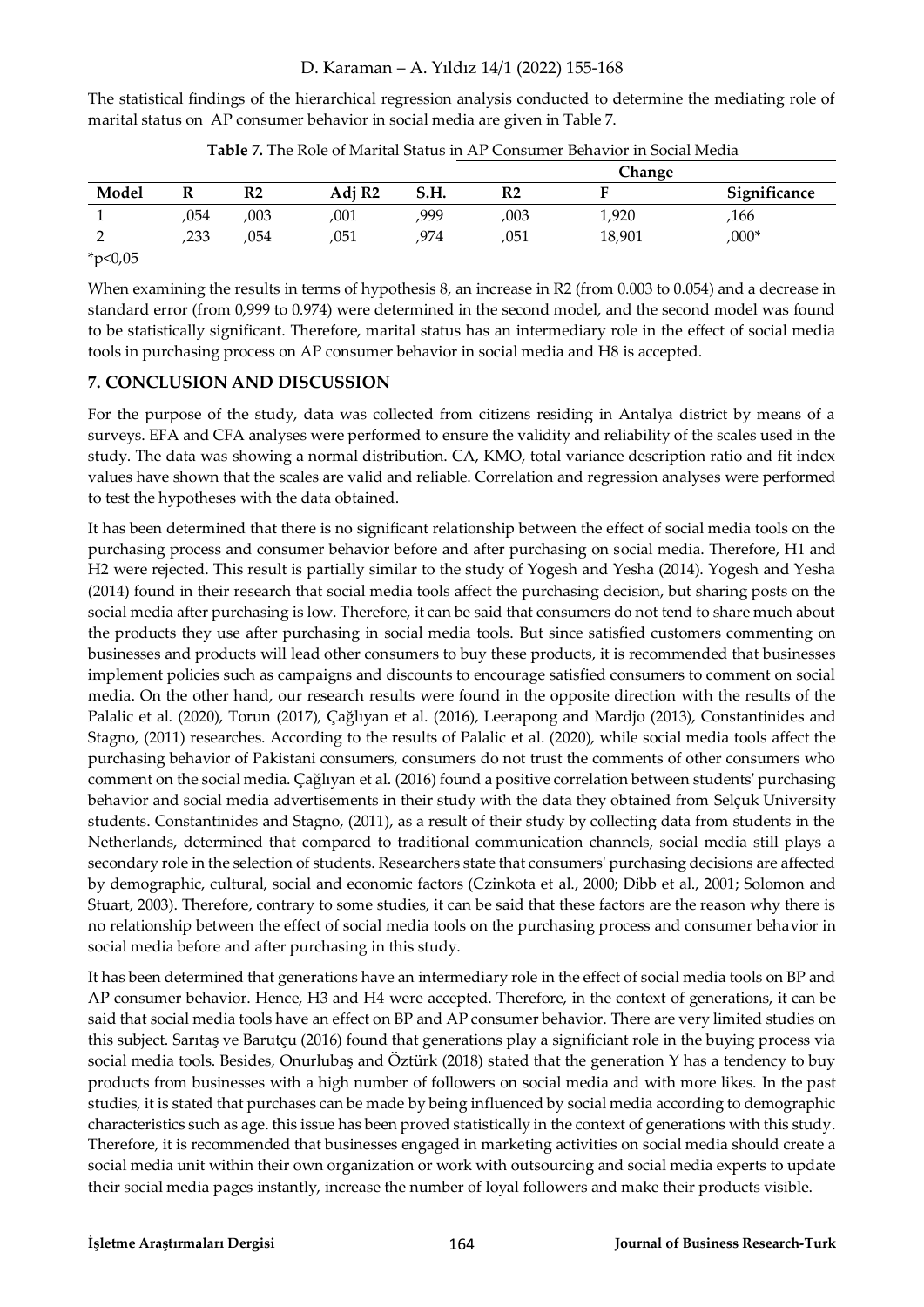The statistical findings of the hierarchical regression analysis conducted to determine the mediating role of marital status on AP consumer behavior in social media are given in Table 7.

|       |      |      |                    |      | Change |        |              |  |
|-------|------|------|--------------------|------|--------|--------|--------------|--|
| Model |      | R2   | Adj R <sub>2</sub> | S.H. | R2     |        | Significance |  |
|       | ,054 | ,003 | ,001               | 999  | ,003   | 1,920  | ,166         |  |
|       | ,233 | 054  | ,051               | 974  | .051   | 18,901 | $,000*$      |  |
| .     |      |      |                    |      |        |        |              |  |

**Table 7.** The Role of Marital Status in AP Consumer Behavior in Social Media

 $*p<0,05$ 

When examining the results in terms of hypothesis 8, an increase in R2 (from 0.003 to 0.054) and a decrease in standard error (from 0,999 to 0.974) were determined in the second model, and the second model was found to be statistically significant. Therefore, marital status has an intermediary role in the effect of social media tools in purchasing process on AP consumer behavior in social media and H8 is accepted.

#### **7. CONCLUSION AND DISCUSSION**

For the purpose of the study, data was collected from citizens residing in Antalya district by means of a surveys. EFA and CFA analyses were performed to ensure the validity and reliability of the scales used in the study. The data was showing a normal distribution. CA, KMO, total variance description ratio and fit index values have shown that the scales are valid and reliable. Correlation and regression analyses were performed to test the hypotheses with the data obtained.

It has been determined that there is no significant relationship between the effect of social media tools on the purchasing process and consumer behavior before and after purchasing on social media. Therefore, H1 and H2 were rejected. This result is partially similar to the study of Yogesh and Yesha (2014). Yogesh and Yesha (2014) found in their research that social media tools affect the purchasing decision, but sharing posts on the social media after purchasing is low. Therefore, it can be said that consumers do not tend to share much about the products they use after purchasing in social media tools. But since satisfied customers commenting on businesses and products will lead other consumers to buy these products, it is recommended that businesses implement policies such as campaigns and discounts to encourage satisfied consumers to comment on social media. On the other hand, our research results were found in the opposite direction with the results of the Palalic et al. (2020), Torun (2017), Çağlıyan et al. (2016), Leerapong and Mardjo (2013), Constantinides and Stagno, (2011) researches. According to the results of Palalic et al. (2020), while social media tools affect the purchasing behavior of Pakistani consumers, consumers do not trust the comments of other consumers who comment on the social media. Çağlıyan et al. (2016) found a positive correlation between students' purchasing behavior and social media advertisements in their study with the data they obtained from Selçuk University students. Constantinides and Stagno, (2011), as a result of their study by collecting data from students in the Netherlands, determined that compared to traditional communication channels, social media still plays a secondary role in the selection of students. Researchers state that consumers' purchasing decisions are affected by demographic, cultural, social and economic factors (Czinkota et al., 2000; Dibb et al., 2001; Solomon and Stuart, 2003). Therefore, contrary to some studies, it can be said that these factors are the reason why there is no relationship between the effect of social media tools on the purchasing process and consumer behavior in social media before and after purchasing in this study.

It has been determined that generations have an intermediary role in the effect of social media tools on BP and AP consumer behavior. Hence, H3 and H4 were accepted. Therefore, in the context of generations, it can be said that social media tools have an effect on BP and AP consumer behavior. There are very limited studies on this subject. Sarıtaş ve Barutçu (2016) found that generations play a significiant role in the buying process via social media tools. Besides, Onurlubaş and Öztürk (2018) stated that the generation Y has a tendency to buy products from businesses with a high number of followers on social media and with more likes. In the past studies, it is stated that purchases can be made by being influenced by social media according to demographic characteristics such as age. this issue has been proved statistically in the context of generations with this study. Therefore, it is recommended that businesses engaged in marketing activities on social media should create a social media unit within their own organization or work with outsourcing and social media experts to update their social media pages instantly, increase the number of loyal followers and make their products visible.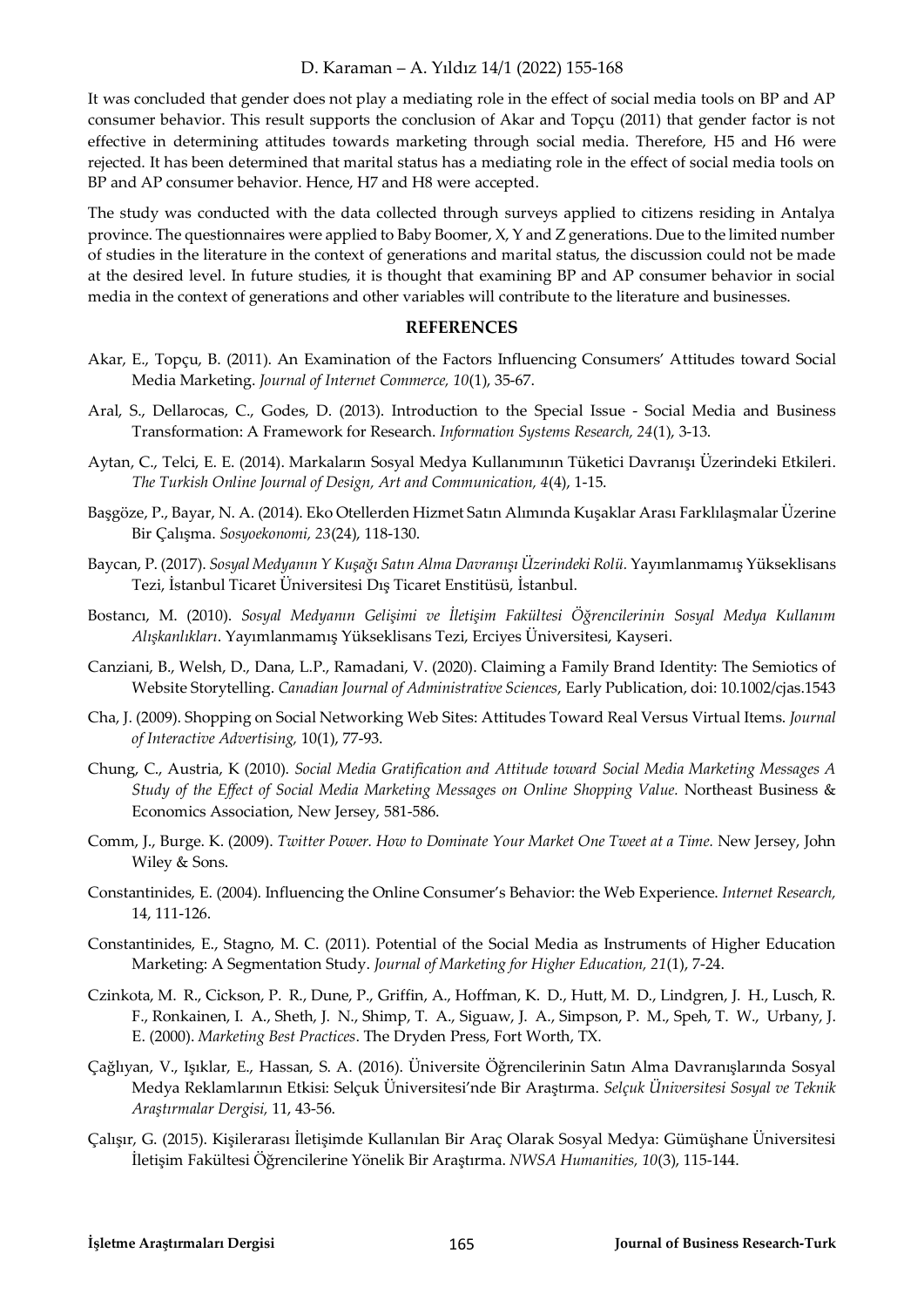It was concluded that gender does not play a mediating role in the effect of social media tools on BP and AP consumer behavior. This result supports the conclusion of Akar and Topçu (2011) that gender factor is not effective in determining attitudes towards marketing through social media. Therefore, H5 and H6 were rejected. It has been determined that marital status has a mediating role in the effect of social media tools on BP and AP consumer behavior. Hence, H7 and H8 were accepted.

The study was conducted with the data collected through surveys applied to citizens residing in Antalya province. The questionnaires were applied to Baby Boomer, X, Y and Z generations. Due to the limited number of studies in the literature in the context of generations and marital status, the discussion could not be made at the desired level. In future studies, it is thought that examining BP and AP consumer behavior in social media in the context of generations and other variables will contribute to the literature and businesses.

#### **REFERENCES**

- Akar, E., Topçu, B. (2011). An Examination of the Factors Influencing Consumers' Attitudes toward Social Media Marketing. *Journal of Internet Commerce, 10*(1), 35-67.
- Aral, S., Dellarocas, C., Godes, D. (2013). Introduction to the Special Issue Social Media and Business Transformation: A Framework for Research. *Information Systems Research, 24*(1), 3-13.
- Aytan, C., Telci, E. E. (2014). Markaların Sosyal Medya Kullanımının Tüketici Davranışı Üzerindeki Etkileri. *The Turkish Online Journal of Design, Art and Communication, 4*(4), 1-15.
- Başgöze, P., Bayar, N. A. (2014). Eko Otellerden Hizmet Satın Alımında Kuşaklar Arası Farklılaşmalar Üzerine Bir Çalışma. *Sosyoekonomi, 23*(24), 118-130.
- Baycan, P. (2017). *Sosyal Medyanın Y Kuşağı Satın Alma Davranışı Üzerindeki Rolü.* Yayımlanmamış Yükseklisans Tezi, İstanbul Ticaret Üniversitesi Dış Ticaret Enstitüsü, İstanbul.
- Bostancı, M. (2010). *Sosyal Medyanın Gelişimi ve İletişim Fakültesi Öğrencilerinin Sosyal Medya Kullanım Alışkanlıkları*. Yayımlanmamış Yükseklisans Tezi, Erciyes Üniversitesi, Kayseri.
- Canziani, B., Welsh, D., Dana, L.P., Ramadani, V. (2020). Claiming a Family Brand Identity: The Semiotics of Website Storytelling. *Canadian Journal of Administrative Sciences*, Early Publication, doi: 10.1002/cjas.1543
- Cha, J. (2009). Shopping on Social Networking Web Sites: Attitudes Toward Real Versus Virtual Items. *Journal of Interactive Advertising,* 10(1), 77-93.
- Chung, C., Austria, K (2010). *Social Media Gratification and Attitude toward Social Media Marketing Messages A Study of the Effect of Social Media Marketing Messages on Online Shopping Value.* Northeast Business & Economics Association, New Jersey, 581-586.
- Comm, J., Burge. K. (2009). *Twitter Power. How to Dominate Your Market One Tweet at a Time.* New Jersey, John Wiley & Sons.
- Constantinides, E. (2004). Influencing the Online Consumer's Behavior: the Web Experience. *Internet Research,* 14, 111-126.
- Constantinides, E., Stagno, M. C. (2011). Potential of the Social Media as Instruments of Higher Education Marketing: A Segmentation Study. *Journal of Marketing for Higher Education, 21*(1), 7-24.
- Czinkota, M. R., Cickson, P. R., Dune, P., Griffin, A., Hoffman, K. D., Hutt, M. D., Lindgren, J. H., Lusch, R. F., Ronkainen, I. A., Sheth, J. N., Shimp, T. A., Siguaw, J. A., Simpson, P. M., Speh, T. W., Urbany, J. E. (2000). *Marketing Best Practices*. The Dryden Press, Fort Worth, TX.
- Çağlıyan, V., Işıklar, E., Hassan, S. A. (2016). Üniversite Öğrencilerinin Satın Alma Davranışlarında Sosyal Medya Reklamlarının Etkisi: Selçuk Üniversitesi'nde Bir Araştırma. *Selçuk Üniversitesi Sosyal ve Teknik Araştırmalar Dergisi,* 11, 43-56.
- Çalışır, G. (2015). Kişilerarası İletişimde Kullanılan Bir Araç Olarak Sosyal Medya: Gümüşhane Üniversitesi İletişim Fakültesi Öğrencilerine Yönelik Bir Araştırma. *NWSA Humanities, 10*(3), 115-144.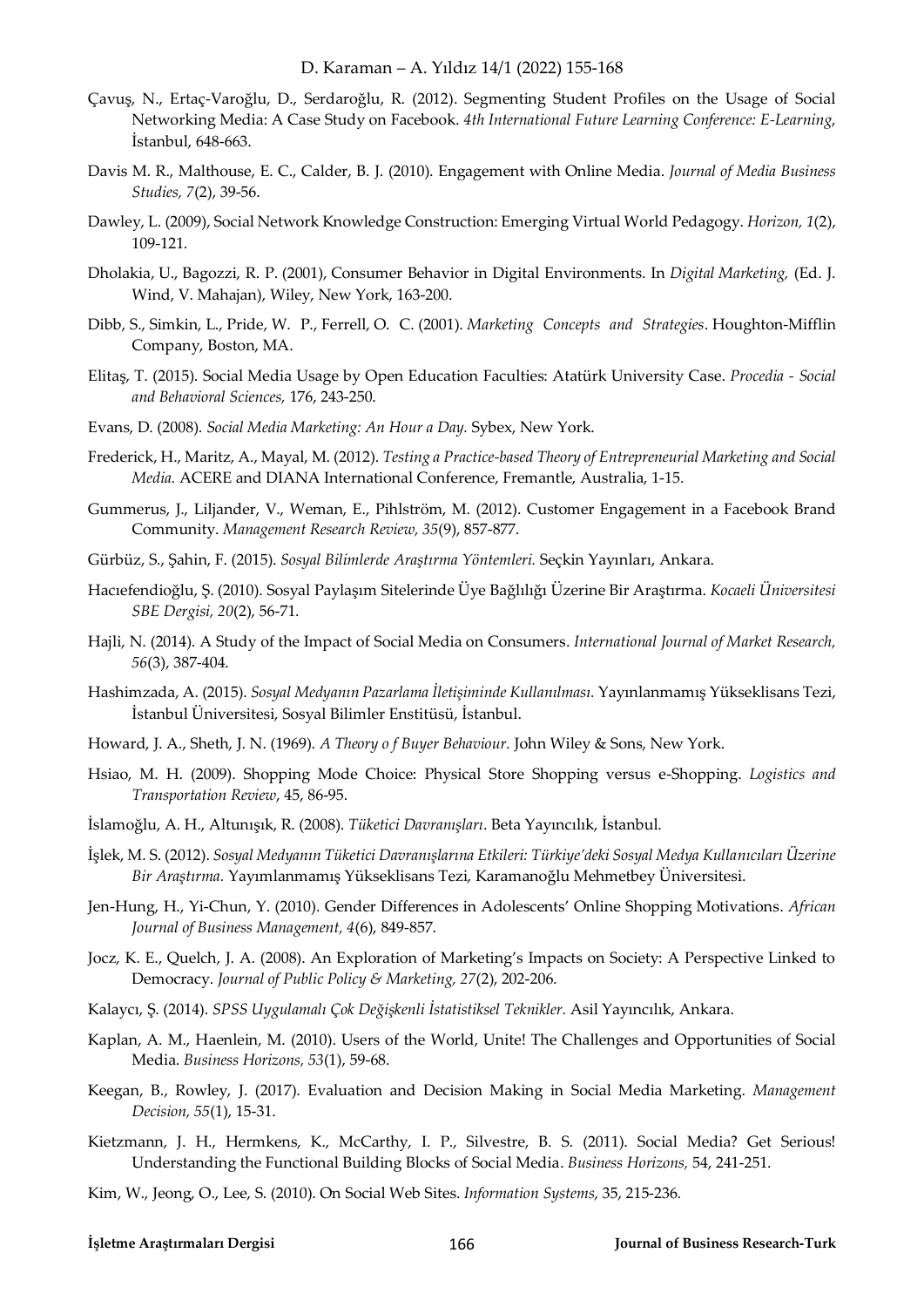- Çavuş, N., Ertaç-Varoğlu, D., Serdaroğlu, R. (2012). Segmenting Student Profiles on the Usage of Social Networking Media: A Case Study on Facebook. *4th International Future Learning Conference: E-Learning*, İstanbul, 648-663.
- Davis M. R., Malthouse, E. C., Calder, B. J. (2010). Engagement with Online Media. *Journal of Media Business Studies, 7*(2), 39-56.
- Dawley, L. (2009), Social Network Knowledge Construction: Emerging Virtual World Pedagogy. *Horizon, 1*(2), 109-121.
- Dholakia, U., Bagozzi, R. P. (2001), Consumer Behavior in Digital Environments. In *Digital Marketing,* (Ed. J. Wind, V. Mahajan), Wiley, New York, 163-200.
- Dibb, S., Simkin, L., Pride, W. P., Ferrell, O. C. (2001). *Marketing Concepts and Strategies*. Houghton‐Mifflin Company, Boston, MA.
- Elitaş, T. (2015). Social Media Usage by Open Education Faculties: Atatürk University Case. *Procedia Social and Behavioral Sciences,* 176, 243-250.
- Evans, D. (2008). *Social Media Marketing: An Hour a Day.* Sybex, New York.
- Frederick, H., Maritz, A., Mayal, M. (2012). *Testing a Practice-based Theory of Entrepreneurial Marketing and Social Media.* ACERE and DIANA International Conference, Fremantle, Australia, 1-15.
- Gummerus, J., Liljander, V., Weman, E., Pihlström, M. (2012). Customer Engagement in a Facebook Brand Community. *Management Research Review, 35*(9), 857-877.
- Gürbüz, S., Şahin, F. (2015). *Sosyal Bilimlerde Araştırma Yöntemleri.* Seçkin Yayınları, Ankara.
- Hacıefendioğlu, Ş. (2010). Sosyal Paylaşım Sitelerinde Üye Bağlılığı Üzerine Bir Araştırma. *Kocaeli Üniversitesi SBE Dergisi, 20*(2), 56-71.
- Hajli, N. (2014). A Study of the Impact of Social Media on Consumers. *International Journal of Market Research, 56*(3), 387-404.
- Hashimzada, A. (2015). *Sosyal Medyanın Pazarlama İletişiminde Kullanılması.* Yayınlanmamış Yükseklisans Tezi, İstanbul Üniversitesi, Sosyal Bilimler Enstitüsü, İstanbul.
- Howard, J. A., Sheth, J. N. (1969). *A Theory o f Buyer Behaviour.* John Wiley & Sons, New York.
- Hsiao, M. H. (2009). Shopping Mode Choice: Physical Store Shopping versus e-Shopping. *Logistics and Transportation Review*, 45, 86-95.
- İslamoğlu, A. H., Altunışık, R. (2008). *Tüketici Davranışları*. Beta Yayıncılık, İstanbul.
- İşlek, M. S. (2012). *Sosyal Medyanın Tüketici Davranışlarına Etkileri: Türkiye'deki Sosyal Medya Kullanıcıları Üzerine Bir Araştırma.* Yayımlanmamış Yükseklisans Tezi, Karamanoğlu Mehmetbey Üniversitesi.
- Jen-Hung, H., Yi-Chun, Y. (2010). Gender Differences in Adolescents' Online Shopping Motivations. *African Journal of Business Management, 4*(6), 849-857.
- Jocz, K. E., Quelch, J. A. (2008). An Exploration of Marketing's Impacts on Society: A Perspective Linked to Democracy. *Journal of Public Policy & Marketing, 27*(2), 202-206.
- Kalaycı, Ş. (2014). *SPSS Uygulamalı Çok Değişkenli İstatistiksel Teknikler.* Asil Yayıncılık, Ankara.
- Kaplan, A. M., Haenlein, M. (2010). Users of the World, Unite! The Challenges and Opportunities of Social Media. *Business Horizons, 53*(1), 59-68.
- Keegan, B., Rowley, J. (2017). Evaluation and Decision Making in Social Media Marketing. *Management Decision, 55*(1), 15-31.
- Kietzmann, J. H., Hermkens, K., McCarthy, I. P., Silvestre, B. S. (2011). Social Media? Get Serious! Understanding the Functional Building Blocks of Social Media. *Business Horizons,* 54, 241-251.
- Kim, W., Jeong, O., Lee, S. (2010). On Social Web Sites. *Information Systems*, 35, 215-236.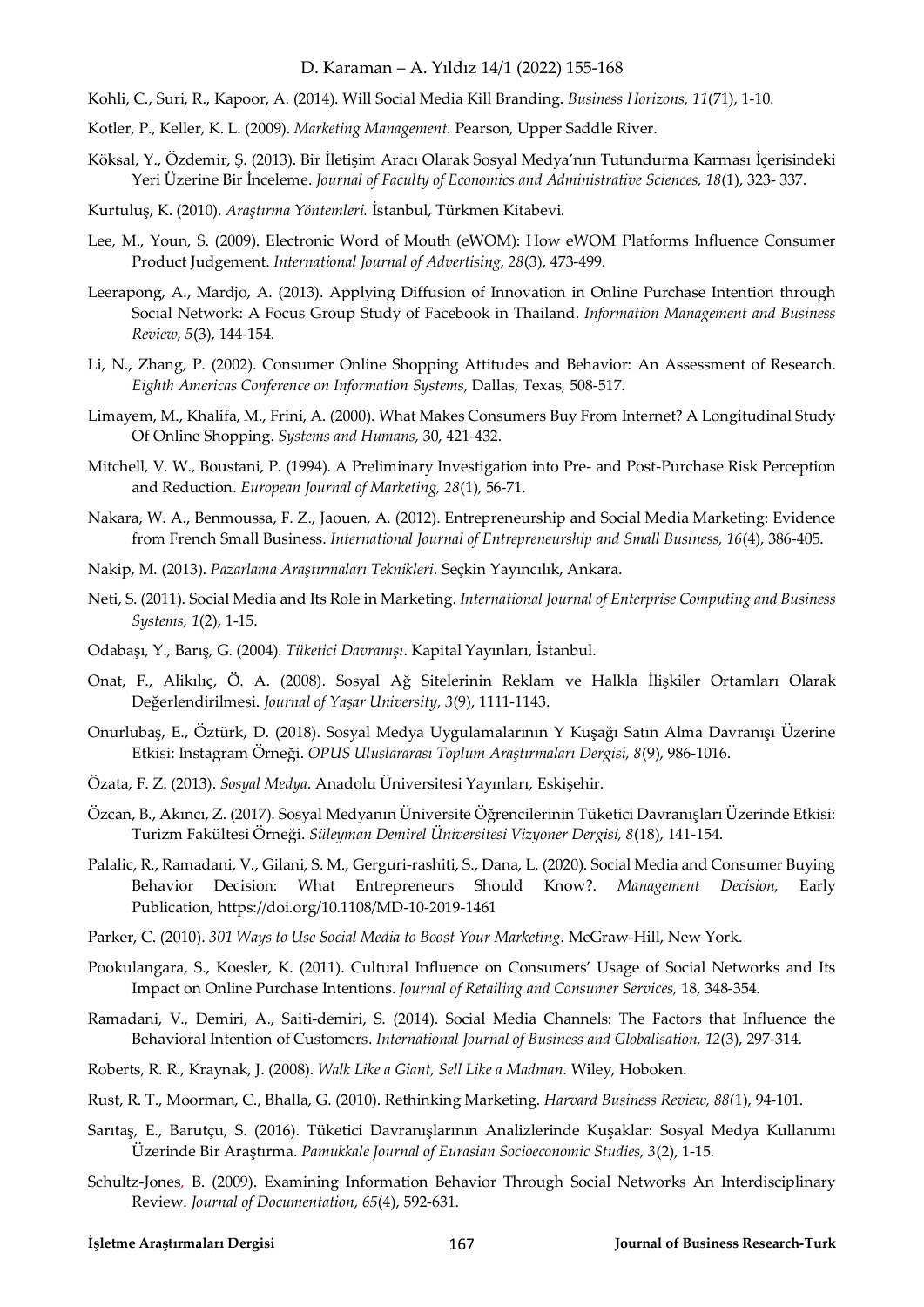- Kohli, C., Suri, R., Kapoor, A. (2014). Will Social Media Kill Branding. *Business Horizons, 11*(71), 1-10.
- Kotler, P., Keller, K. L. (2009). *Marketing Management.* Pearson, Upper Saddle River.
- Köksal, Y., Özdemir, Ş. (2013). Bir İletişim Aracı Olarak Sosyal Medya'nın Tutundurma Karması İçerisindeki Yeri Üzerine Bir İnceleme. *Journal of Faculty of Economics and Administrative Sciences, 18*(1), 323- 337.
- Kurtuluş, K. (2010). *Araştırma Yöntemleri.* İstanbul, Türkmen Kitabevi.
- Lee, M., Youn, S. (2009). Electronic Word of Mouth (eWOM): How eWOM Platforms Influence Consumer Product Judgement. *International Journal of Advertising, 28*(3), 473-499.
- Leerapong, A., Mardjo, A. (2013). Applying Diffusion of Innovation in Online Purchase Intention through Social Network: A Focus Group Study of Facebook in Thailand. *Information Management and Business Review, 5*(3), 144-154.
- Li, N., Zhang, P. (2002). Consumer Online Shopping Attitudes and Behavior: An Assessment of Research. *Eighth Americas Conference on Information Systems*, Dallas, Texas, 508-517.
- Limayem, M., Khalifa, M., Frini, A. (2000). What Makes Consumers Buy From Internet? A Longitudinal Study Of Online Shopping. *Systems and Humans,* 30, 421-432.
- Mitchell, V. W., Boustani, P. (1994). A Preliminary Investigation into Pre- and Post-Purchase Risk Perception and Reduction. *European Journal of Marketing, 28*(1), 56-71.
- Nakara, W. A., Benmoussa, F. Z., Jaouen, A. (2012). Entrepreneurship and Social Media Marketing: Evidence from French Small Business. *International Journal of Entrepreneurship and Small Business, 16*(4), 386-405.
- Nakip, M. (2013). *Pazarlama Araştırmaları Teknikleri*. Seçkin Yayıncılık, Ankara.
- Neti, S. (2011). Social Media and Its Role in Marketing. *International Journal of Enterprise Computing and Business Systems, 1*(2), 1-15.
- Odabaşı, Y., Barış, G. (2004). *Tüketici Davranışı*. Kapital Yayınları, İstanbul.
- Onat, F., Alikılıç, Ö. A. (2008). Sosyal Ağ Sitelerinin Reklam ve Halkla İlişkiler Ortamları Olarak Değerlendirilmesi. *Journal of Yaşar University, 3*(9), 1111-1143.
- Onurlubaş, E., Öztürk, D. (2018). Sosyal Medya Uygulamalarının Y Kuşağı Satın Alma Davranışı Üzerine Etkisi: Instagram Örneği. *OPUS Uluslararası Toplum Araştırmaları Dergisi, 8*(9), 986-1016.
- Özata, F. Z. (2013). *Sosyal Medya*. Anadolu Üniversitesi Yayınları, Eskişehir.
- Özcan, B., Akıncı, Z. (2017). Sosyal Medyanın Üniversite Öğrencilerinin Tüketici Davranışları Üzerinde Etkisi: Turizm Fakültesi Örneği. *Süleyman Demirel Üniversitesi Vizyoner Dergisi, 8*(18), 141-154.
- Palalic, R., Ramadani, V., Gilani, S. M., Gerguri-rashiti, S., Dana, L. (2020). Social Media and Consumer Buying Behavior Decision: What Entrepreneurs Should Know?. *Management Decision,* Early Publication, https://doi.org/10.1108/MD-10-2019-1461
- Parker, C. (2010). *301 Ways to Use Social Media to Boost Your Marketing.* McGraw-Hill, New York.
- Pookulangara, S., Koesler, K. (2011). Cultural Influence on Consumers' Usage of Social Networks and Its Impact on Online Purchase Intentions. *Journal of Retailing and Consumer Services,* 18, 348-354.
- Ramadani, V., Demiri, A., Saiti-demiri, S. (2014). Social Media Channels: The Factors that Influence the Behavioral Intention of Customers. *International Journal of Business and Globalisation, 12*(3), 297-314.
- Roberts, R. R., Kraynak, J. (2008). *Walk Like a Giant, Sell Like a Madman.* Wiley, Hoboken.
- Rust, R. T., Moorman, C., Bhalla, G. (2010). Rethinking Marketing. *Harvard Business Review, 88(*1), 94-101.
- Sarıtaş, E., Barutçu, S. (2016). Tüketici Davranışlarının Analizlerinde Kuşaklar: Sosyal Medya Kullanımı Üzerinde Bir Araştırma. *Pamukkale Journal of Eurasian Socioeconomic Studies, 3*(2), 1-15.
- Schultz-Jones, B. (2009). Examining Information Behavior Through Social Networks An Interdisciplinary Review. *Journal of Documentation, 65*(4), 592-631.